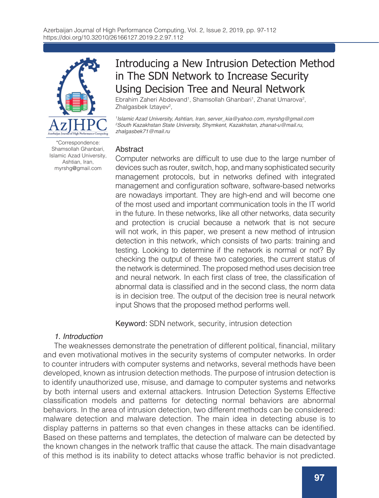

\*Correspondence: Shamsollah Ghanbari, Islamic Azad University, Ashtian, Iran, myrshg@gmail.com

# Introducing a New Intrusion Detection Method in The SDN Network to Increase Security Using Decision Tree and Neural Network

Ebrahim Zaheri Abdevand<sup>1</sup>, Shamsollah Ghanbari<sup>1</sup>, Zhanat Umarova<sup>2</sup>, Zhalgasbek Iztayev<sup>2</sup>,

*1 Islamic Azad University, Ashtian, Iran, server\_kia@yahoo.com, myrshg@gmail.com 2 South Kazakhstan State University, Shymkent, Kazakhstan, zhanat-u@mail.ru, zhalgasbek71@mail.ru*

### **Abstract**

Computer networks are difficult to use due to the large number of devices such as router, switch, hop, and many sophisticated security management protocols, but in networks defined with integrated management and configuration software, software-based networks are nowadays important. They are high-end and will become one of the most used and important communication tools in the IT world in the future. In these networks, like all other networks, data security and protection is crucial because a network that is not secure will not work, in this paper, we present a new method of intrusion detection in this network, which consists of two parts: training and testing. Looking to determine if the network is normal or not? By checking the output of these two categories, the current status of the network is determined. The proposed method uses decision tree and neural network. In each first class of tree, the classification of abnormal data is classified and in the second class, the norm data is in decision tree. The output of the decision tree is neural network input Shows that the proposed method performs well.

Keyword: SDN network, security, intrusion detection

### *1. Introduction*

The weaknesses demonstrate the penetration of different political, financial, military and even motivational motives in the security systems of computer networks. In order to counter intruders with computer systems and networks, several methods have been developed, known as intrusion detection methods. The purpose of intrusion detection is to identify unauthorized use, misuse, and damage to computer systems and networks by both internal users and external attackers. Intrusion Detection Systems Effective classification models and patterns for detecting normal behaviors are abnormal behaviors. In the area of intrusion detection, two different methods can be considered: malware detection and malware detection. The main idea in detecting abuse is to display patterns in patterns so that even changes in these attacks can be identified. Based on these patterns and templates, the detection of malware can be detected by the known changes in the network traffic that cause the attack. The main disadvantage of this method is its inability to detect attacks whose traffic behavior is not predicted.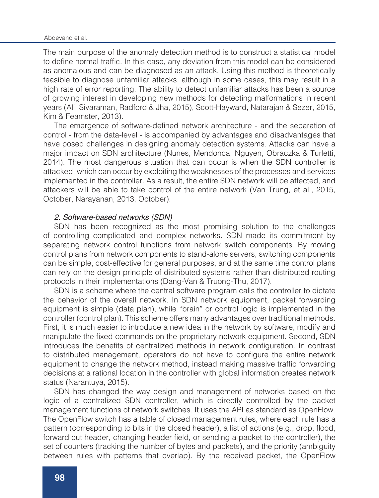The main purpose of the anomaly detection method is to construct a statistical model to define normal traffic. In this case, any deviation from this model can be considered as anomalous and can be diagnosed as an attack. Using this method is theoretically feasible to diagnose unfamiliar attacks, although in some cases, this may result in a high rate of error reporting. The ability to detect unfamiliar attacks has been a source of growing interest in developing new methods for detecting malformations in recent years (Ali, Sivaraman, Radford & Jha, 2015), Scott-Hayward, Natarajan & Sezer, 2015, Kim & Feamster, 2013).

The emergence of software-defined network architecture - and the separation of control - from the data-level - is accompanied by advantages and disadvantages that have posed challenges in designing anomaly detection systems. Attacks can have a major impact on SDN architecture (Nunes, Mendonca, Nguyen, Obraczka & Turletti, 2014). The most dangerous situation that can occur is when the SDN controller is attacked, which can occur by exploiting the weaknesses of the processes and services implemented in the controller. As a result, the entire SDN network will be affected, and attackers will be able to take control of the entire network (Van Trung, et al., 2015, October, Narayanan, 2013, October).

#### *2. Software-based networks (SDN)*

SDN has been recognized as the most promising solution to the challenges of controlling complicated and complex networks. SDN made its commitment by separating network control functions from network switch components. By moving control plans from network components to stand-alone servers, switching components can be simple, cost-effective for general purposes, and at the same time control plans can rely on the design principle of distributed systems rather than distributed routing protocols in their implementations (Dang-Van & Truong-Thu, 2017).

SDN is a scheme where the central software program calls the controller to dictate the behavior of the overall network. In SDN network equipment, packet forwarding equipment is simple (data plan), while "brain" or control logic is implemented in the controller (control plan). This scheme offers many advantages over traditional methods. First, it is much easier to introduce a new idea in the network by software, modify and manipulate the fixed commands on the proprietary network equipment. Second, SDN introduces the benefits of centralized methods in network configuration. In contrast to distributed management, operators do not have to configure the entire network equipment to change the network method, instead making massive traffic forwarding decisions at a rational location in the controller with global information creates network status (Narantuya, 2015).

SDN has changed the way design and management of networks based on the logic of a centralized SDN controller, which is directly controlled by the packet management functions of network switches. It uses the API as standard as OpenFlow. The OpenFlow switch has a table of closed management rules, where each rule has a pattern (corresponding to bits in the closed header), a list of actions (e.g., drop, flood, forward out header, changing header field, or sending a packet to the controller), the set of counters (tracking the number of bytes and packets), and the priority (ambiguity between rules with patterns that overlap). By the received packet, the OpenFlow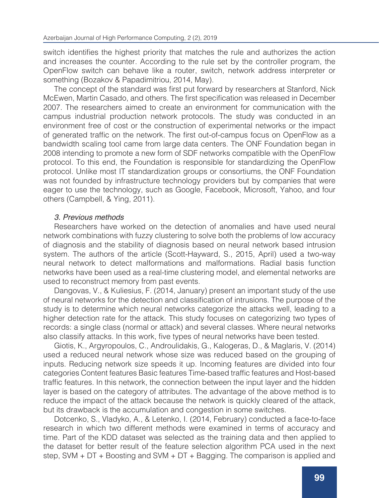switch identifies the highest priority that matches the rule and authorizes the action and increases the counter. According to the rule set by the controller program, the OpenFlow switch can behave like a router, switch, network address interpreter or something (Bozakov & Papadimitriou, 2014, May).

The concept of the standard was first put forward by researchers at Stanford, Nick McEwen, Martin Casado, and others. The first specification was released in December 2007. The researchers aimed to create an environment for communication with the campus industrial production network protocols. The study was conducted in an environment free of cost or the construction of experimental networks or the impact of generated traffic on the network. The first out-of-campus focus on OpenFlow as a bandwidth scaling tool came from large data centers. The ONF Foundation began in 2008 intending to promote a new form of SDF networks compatible with the OpenFlow protocol. To this end, the Foundation is responsible for standardizing the OpenFlow protocol. Unlike most IT standardization groups or consortiums, the ONF Foundation was not founded by infrastructure technology providers but by companies that were eager to use the technology, such as Google, Facebook, Microsoft, Yahoo, and four others (Campbell, & Ying, 2011).

#### *3. Previous methods*

Researchers have worked on the detection of anomalies and have used neural network combinations with fuzzy clustering to solve both the problems of low accuracy of diagnosis and the stability of diagnosis based on neural network based intrusion system. The authors of the article (Scott-Hayward, S., 2015, April) used a two-way neural network to detect malformations and malformations. Radial basis function networks have been used as a real-time clustering model, and elemental networks are used to reconstruct memory from past events.

Dangovas, V., & Kuliesius, F. (2014, January) present an important study of the use of neural networks for the detection and classification of intrusions. The purpose of the study is to determine which neural networks categorize the attacks well, leading to a higher detection rate for the attack. This study focuses on categorizing two types of records: a single class (normal or attack) and several classes. Where neural networks also classify attacks. In this work, five types of neural networks have been tested.

Giotis, K., Argyropoulos, C., Androulidakis, G., Kalogeras, D., & Maglaris, V. (2014) used a reduced neural network whose size was reduced based on the grouping of inputs. Reducing network size speeds it up. Incoming features are divided into four categories Content features Basic features Time-based traffic features and Host-based traffic features. In this network, the connection between the input layer and the hidden layer is based on the category of attributes. The advantage of the above method is to reduce the impact of the attack because the network is quickly cleared of the attack, but its drawback is the accumulation and congestion in some switches.

Dotcenko, S., Vladyko, A., & Letenko, I. (2014, February) conducted a face-to-face research in which two different methods were examined in terms of accuracy and time. Part of the KDD dataset was selected as the training data and then applied to the dataset for better result of the feature selection algorithm PCA used in the next step, SVM + DT + Boosting and SVM + DT + Bagging. The comparison is applied and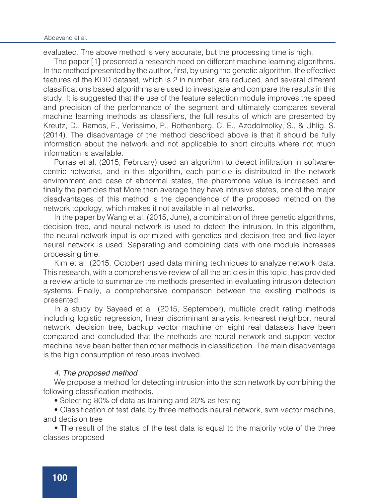evaluated. The above method is very accurate, but the processing time is high.

The paper [1] presented a research need on different machine learning algorithms. In the method presented by the author, first, by using the genetic algorithm, the effective features of the KDD dataset, which is 2 in number, are reduced, and several different classifications based algorithms are used to investigate and compare the results in this study. It is suggested that the use of the feature selection module improves the speed and precision of the performance of the segment and ultimately compares several machine learning methods as classifiers, the full results of which are presented by Kreutz, D., Ramos, F., Verissimo, P., Rothenberg, C. E., Azodolmolky, S., & Uhlig, S. (2014). The disadvantage of the method described above is that it should be fully information about the network and not applicable to short circuits where not much information is available.

Porras et al. (2015, February) used an algorithm to detect infiltration in softwarecentric networks, and in this algorithm, each particle is distributed in the network environment and case of abnormal states, the pheromone value is increased and finally the particles that More than average they have intrusive states, one of the major disadvantages of this method is the dependence of the proposed method on the network topology, which makes it not available in all networks.

In the paper by Wang et al. (2015, June), a combination of three genetic algorithms, decision tree, and neural network is used to detect the intrusion. In this algorithm, the neural network input is optimized with genetics and decision tree and five-layer neural network is used. Separating and combining data with one module increases processing time.

Kim et al. (2015, October) used data mining techniques to analyze network data. This research, with a comprehensive review of all the articles in this topic, has provided a review article to summarize the methods presented in evaluating intrusion detection systems. Finally, a comprehensive comparison between the existing methods is presented.

In a study by Sayeed et al. (2015, September), multiple credit rating methods including logistic regression, linear discriminant analysis, k-nearest neighbor, neural network, decision tree, backup vector machine on eight real datasets have been compared and concluded that the methods are neural network and support vector machine have been better than other methods in classification. The main disadvantage is the high consumption of resources involved.

### *4. The proposed method*

We propose a method for detecting intrusion into the sdn network by combining the following classification methods.

• Selecting 80% of data as training and 20% as testing

• Classification of test data by three methods neural network, svm vector machine, and decision tree

• The result of the status of the test data is equal to the majority vote of the three classes proposed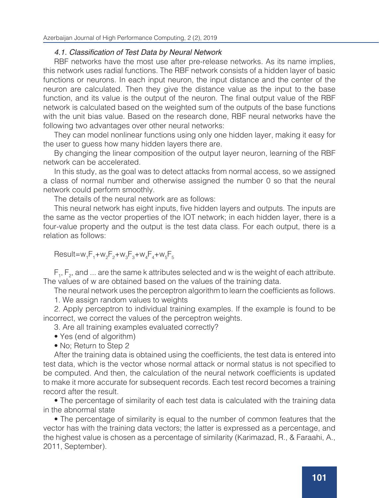### 4.1. Classification of Test Data by Neural Network

RBF networks have the most use after pre-release networks. As its name implies, this network uses radial functions. The RBF network consists of a hidden layer of basic functions or neurons. In each input neuron, the input distance and the center of the neuron are calculated. Then they give the distance value as the input to the base function, and its value is the output of the neuron. The final output value of the RBF network is calculated based on the weighted sum of the outputs of the base functions with the unit bias value. Based on the research done, RBF neural networks have the following two advantages over other neural networks:

They can model nonlinear functions using only one hidden layer, making it easy for the user to guess how many hidden layers there are.

By changing the linear composition of the output layer neuron, learning of the RBF network can be accelerated.

In this study, as the goal was to detect attacks from normal access, so we assigned a class of normal number and otherwise assigned the number 0 so that the neural network could perform smoothly.

The details of the neural network are as follows:

This neural network has eight inputs, five hidden layers and outputs. The inputs are the same as the vector properties of the IOT network; in each hidden layer, there is a four-value property and the output is the test data class. For each output, there is a relation as follows:

 $Result = w_1F_1 + w_2F_2 + w_3F_3 + w_4F_4 + w_5F_5$ 

 $F_1, F_2$ , and ... are the same k attributes selected and w is the weight of each attribute. The values of w are obtained based on the values of the training data.

The neural network uses the perceptron algorithm to learn the coefficients as follows.

1. We assign random values to weights

2. Apply perceptron to individual training examples. If the example is found to be incorrect, we correct the values of the perceptron weights.

3. Are all training examples evaluated correctly?

- Yes (end of algorithm)
- No; Return to Step 2

After the training data is obtained using the coefficients, the test data is entered into test data, which is the vector whose normal attack or normal status is not specified to be computed. And then, the calculation of the neural network coefficients is updated to make it more accurate for subsequent records. Each test record becomes a training record after the result.

• The percentage of similarity of each test data is calculated with the training data in the abnormal state

• The percentage of similarity is equal to the number of common features that the vector has with the training data vectors; the latter is expressed as a percentage, and the highest value is chosen as a percentage of similarity (Karimazad, R., & Faraahi, A., 2011, September).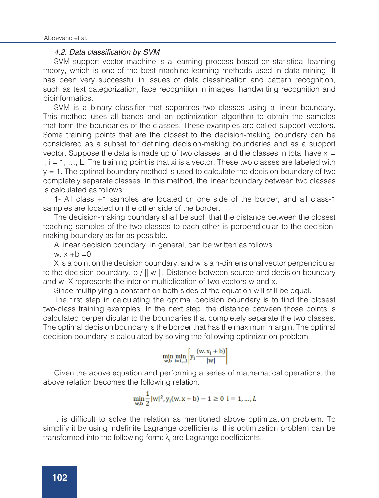#### 4.2. Data classification by SVM

SVM support vector machine is a learning process based on statistical learning theory, which is one of the best machine learning methods used in data mining. It has been very successful in issues of data classification and pattern recognition, such as text categorization, face recognition in images, handwriting recognition and bioinformatics.

SVM is a binary classifier that separates two classes using a linear boundary. This method uses all bands and an optimization algorithm to obtain the samples that form the boundaries of the classes. These examples are called support vectors. Some training points that are the closest to the decision-making boundary can be considered as a subset for defining decision-making boundaries and as a support vector. Suppose the data is made up of two classes, and the classes in total have  $x =$  $i, i = 1, \ldots, L$ . The training point is that xi is a vector. These two classes are labeled with  $y = 1$ . The optimal boundary method is used to calculate the decision boundary of two completely separate classes. In this method, the linear boundary between two classes is calculated as follows:

1- All class +1 samples are located on one side of the border, and all class-1 samples are located on the other side of the border.

The decision-making boundary shall be such that the distance between the closest teaching samples of the two classes to each other is perpendicular to the decisionmaking boundary as far as possible.

A linear decision boundary, in general, can be written as follows:

w.  $x + b = 0$ 

X is a point on the decision boundary, and w is a n-dimensional vector perpendicular to the decision boundary. b / || w ||. Distance between source and decision boundary and w. X represents the interior multiplication of two vectors w and x.

Since multiplying a constant on both sides of the equation will still be equal.

The first step in calculating the optimal decision boundary is to find the closest two-class training examples. In the next step, the distance between those points is calculated perpendicular to the boundaries that completely separate the two classes. The optimal decision boundary is the border that has the maximum margin. The optimal decision boundary is calculated by solving the following optimization problem.

$$
\min_{w,b} \min_{i=1,..,l} \left[ y_i \frac{(w.x_i + b)}{|w|} \right]
$$

Given the above equation and performing a series of mathematical operations, the above relation becomes the following relation.

$$
\min_{w,b} \frac{1}{2} |w|^2, y_i(w, x + b) - 1 \ge 0 \quad i = 1, ..., L
$$

It is difficult to solve the relation as mentioned above optimization problem. To simplify it by using indefinite Lagrange coefficients, this optimization problem can be transformed into the following form:  $\lambda_{\!\scriptscriptstyle\parallel}$  are Lagrange coefficients.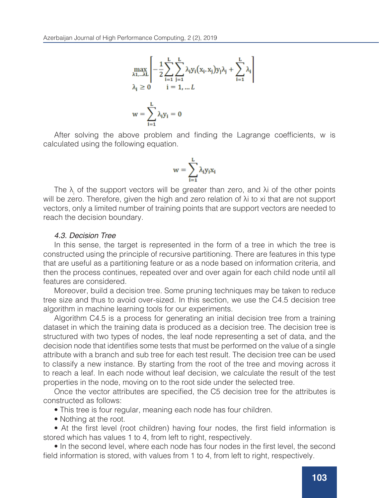$$
\max_{\lambda_1, \dots, \lambda L} \left[ -\frac{1}{2} \sum_{i=1}^L \sum_{j=1}^L \lambda_i y_i (x_i, x_j) y_j \lambda_j + \sum_{i=1}^L \lambda_i \right]
$$
  

$$
\lambda_i \ge 0 \qquad i = 1, \dots L
$$
  

$$
w = \sum_{i=1}^L \lambda_i y_i = 0
$$

After solving the above problem and finding the Lagrange coefficients, w is calculated using the following equation.

$$
w=\sum_{i=1}^L \lambda_i y_i x_i
$$

The  $\lambda_i$  of the support vectors will be greater than zero, and  $\lambda_i$  of the other points will be zero. Therefore, given the high and zero relation of λi to xi that are not support vectors, only a limited number of training points that are support vectors are needed to reach the decision boundary.

#### *4.3. Decision Tree*

In this sense, the target is represented in the form of a tree in which the tree is constructed using the principle of recursive partitioning. There are features in this type that are useful as a partitioning feature or as a node based on information criteria, and then the process continues, repeated over and over again for each child node until all features are considered.

Moreover, build a decision tree. Some pruning techniques may be taken to reduce tree size and thus to avoid over-sized. In this section, we use the C4.5 decision tree algorithm in machine learning tools for our experiments.

Algorithm C4.5 is a process for generating an initial decision tree from a training dataset in which the training data is produced as a decision tree. The decision tree is structured with two types of nodes, the leaf node representing a set of data, and the decision node that identifies some tests that must be performed on the value of a single attribute with a branch and sub tree for each test result. The decision tree can be used to classify a new instance. By starting from the root of the tree and moving across it to reach a leaf. In each node without leaf decision, we calculate the result of the test properties in the node, moving on to the root side under the selected tree.

Once the vector attributes are specified, the C5 decision tree for the attributes is constructed as follows:

- This tree is four regular, meaning each node has four children.
- Nothing at the root.

• At the first level (root children) having four nodes, the first field information is stored which has values 1 to 4, from left to right, respectively.

• In the second level, where each node has four nodes in the first level, the second field information is stored, with values from 1 to 4, from left to right, respectively.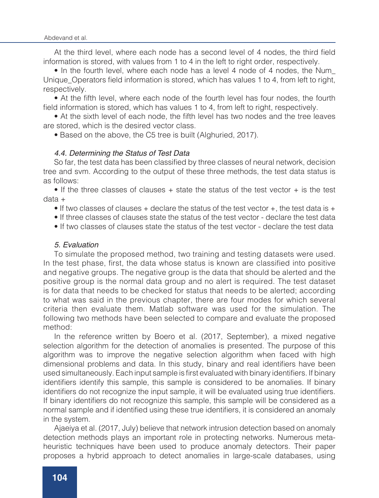At the third level, where each node has a second level of 4 nodes, the third field information is stored, with values from 1 to 4 in the left to right order, respectively.

• In the fourth level, where each node has a level 4 node of 4 nodes, the Num\_ Unique Operators field information is stored, which has values 1 to 4, from left to right, respectively.

• At the fifth level, where each node of the fourth level has four nodes, the fourth field information is stored, which has values 1 to 4, from left to right, respectively.

• At the sixth level of each node, the fifth level has two nodes and the tree leaves are stored, which is the desired vector class.

• Based on the above, the C5 tree is built (Alghuried, 2017).

### *4.4. Determining the Status of Test Data*

So far, the test data has been classified by three classes of neural network, decision tree and svm. According to the output of these three methods, the test data status is as follows:

• If the three classes of clauses  $+$  state the status of the test vector  $+$  is the test data +

 $\bullet$  If two classes of clauses + declare the status of the test vector +, the test data is +

• If three classes of clauses state the status of the test vector - declare the test data

• If two classes of clauses state the status of the test vector - declare the test data

### *5. Evaluation*

To simulate the proposed method, two training and testing datasets were used. In the test phase, first, the data whose status is known are classified into positive and negative groups. The negative group is the data that should be alerted and the positive group is the normal data group and no alert is required. The test dataset is for data that needs to be checked for status that needs to be alerted; according to what was said in the previous chapter, there are four modes for which several criteria then evaluate them. Matlab software was used for the simulation. The following two methods have been selected to compare and evaluate the proposed method:

In the reference written by Boero et al. (2017, September), a mixed negative selection algorithm for the detection of anomalies is presented. The purpose of this algorithm was to improve the negative selection algorithm when faced with high dimensional problems and data. In this study, binary and real identifiers have been used simultaneously. Each input sample is first evaluated with binary identifiers. If binary identifiers identify this sample, this sample is considered to be anomalies. If binary identifiers do not recognize the input sample, it will be evaluated using true identifiers. If binary identifiers do not recognize this sample, this sample will be considered as a normal sample and if identified using these true identifiers, it is considered an anomaly in the system.

Ajaeiya et al. (2017, July) believe that network intrusion detection based on anomaly detection methods plays an important role in protecting networks. Numerous metaheuristic techniques have been used to produce anomaly detectors. Their paper proposes a hybrid approach to detect anomalies in large-scale databases, using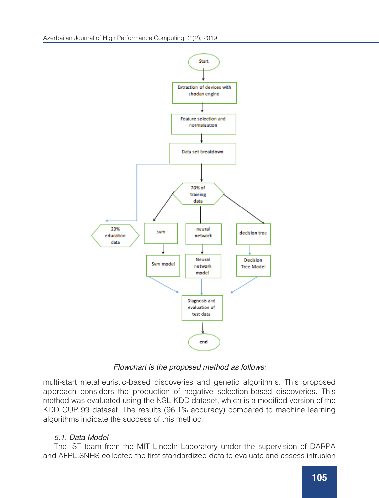

*Flowchart is the proposed method as follows:*

multi-start metaheuristic-based discoveries and genetic algorithms. This proposed approach considers the production of negative selection-based discoveries. This method was evaluated using the NSL-KDD dataset, which is a modified version of the KDD CUP 99 dataset. The results (96.1% accuracy) compared to machine learning algorithms indicate the success of this method.

# 5.1. Data Model

The IST team from the MIT Lincoln Laboratory under the supervision of DARPA and AFRL. SNHS collected the first standardized data to evaluate and assess intrusion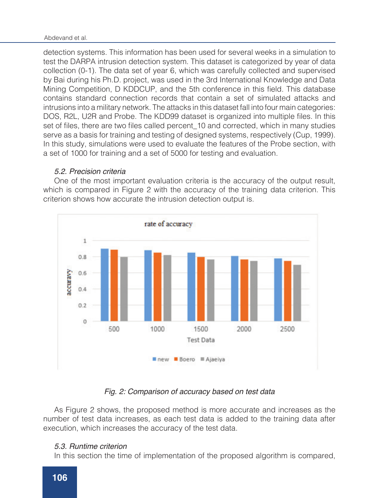detection systems. This information has been used for several weeks in a simulation to test the DARPA intrusion detection system. This dataset is categorized by year of data collection (0-1). The data set of year 6, which was carefully collected and supervised by Bai during his Ph.D. project, was used in the 3rd International Knowledge and Data Mining Competition, D KDDCUP, and the 5th conference in this field. This database contains standard connection records that contain a set of simulated attacks and intrusions into a military network. The attacks in this dataset fall into four main categories: DOS, R2L, U2R and Probe. The KDD99 dataset is organized into multiple files. In this set of files, there are two files called percent 10 and corrected, which in many studies serve as a basis for training and testing of designed systems, respectively (Cup, 1999). In this study, simulations were used to evaluate the features of the Probe section, with a set of 1000 for training and a set of 5000 for testing and evaluation.

### *5.2. Precision criteria*

One of the most important evaluation criteria is the accuracy of the output result, which is compared in Figure 2 with the accuracy of the training data criterion. This criterion shows how accurate the intrusion detection output is.



# *Fig. 2: Comparison of accuracy based on test data*

As Figure 2 shows, the proposed method is more accurate and increases as the number of test data increases, as each test data is added to the training data after execution, which increases the accuracy of the test data.

### *5.3. Runtime criterion*

In this section the time of implementation of the proposed algorithm is compared,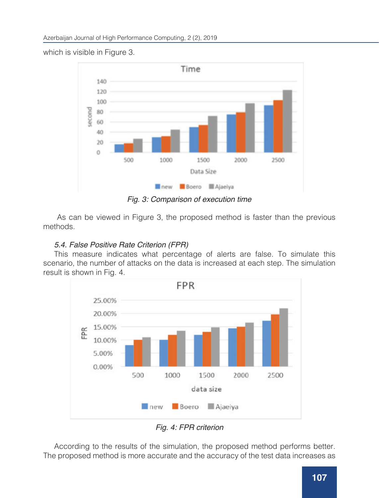Time 140 120 100 second 80 60 40 20  $\circ$ 500 1500 2000 2500 1000 Data Size new Boero **Ajaeiya** 

which is visible in Figure 3.

*Fig. 3: Comparison of execution time*

 As can be viewed in Figure 3, the proposed method is faster than the previous methods.

# *5.4. False Positive Rate Criterion (FPR)*

This measure indicates what percentage of alerts are false. To simulate this scenario, the number of attacks on the data is increased at each step. The simulation result is shown in Fig. 4.



*Fig. 4: FPR criterion*

According to the results of the simulation, the proposed method performs better. The proposed method is more accurate and the accuracy of the test data increases as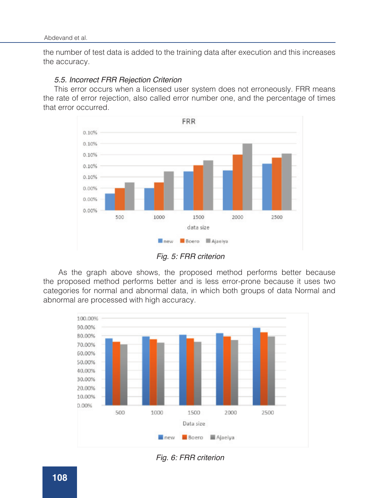the number of test data is added to the training data after execution and this increases the accuracy.

### *5.5. Incorrect FRR Rejection Criterion*

This error occurs when a licensed user system does not erroneously. FRR means the rate of error rejection, also called error number one, and the percentage of times that error occurred.



*Fig. 5: FRR criterion*

 As the graph above shows, the proposed method performs better because the proposed method performs better and is less error-prone because it uses two categories for normal and abnormal data, in which both groups of data Normal and abnormal are processed with high accuracy.



*Fig. 6: FRR criterion*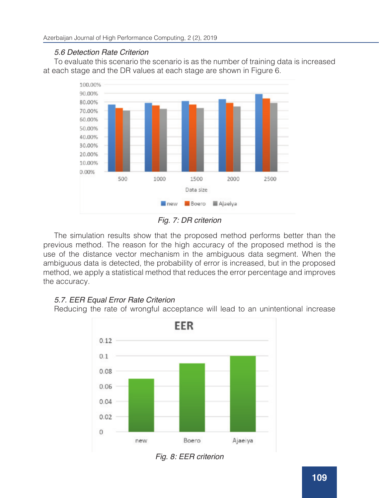# *5.6 Detection Rate Criterion*

To evaluate this scenario the scenario is as the number of training data is increased at each stage and the DR values at each stage are shown in Figure 6.



*Fig. 7: DR criterion*

The simulation results show that the proposed method performs better than the previous method. The reason for the high accuracy of the proposed method is the use of the distance vector mechanism in the ambiguous data segment. When the ambiguous data is detected, the probability of error is increased, but in the proposed method, we apply a statistical method that reduces the error percentage and improves the accuracy.

# *5.7. EER Equal Error Rate Criterion*

Reducing the rate of wrongful acceptance will lead to an unintentional increase



*Fig. 8: EER criterion*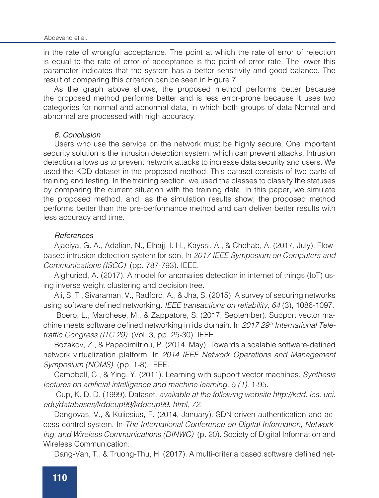in the rate of wrongful acceptance. The point at which the rate of error of rejection is equal to the rate of error of acceptance is the point of error rate. The lower this parameter indicates that the system has a better sensitivity and good balance. The result of comparing this criterion can be seen in Figure 7.

As the graph above shows, the proposed method performs better because the proposed method performs better and is less error-prone because it uses two categories for normal and abnormal data, in which both groups of data Normal and abnormal are processed with high accuracy.

#### *6. Conclusion*

Users who use the service on the network must be highly secure. One important security solution is the intrusion detection system, which can prevent attacks. Intrusion detection allows us to prevent network attacks to increase data security and users. We used the KDD dataset in the proposed method. This dataset consists of two parts of training and testing. In the training section, we used the classes to classify the statuses by comparing the current situation with the training data. In this paper, we simulate the proposed method, and, as the simulation results show, the proposed method performs better than the pre-performance method and can deliver better results with less accuracy and time.

### *References*

Ajaeiya, G. A., Adalian, N., Elhajj, I. H., Kayssi, A., & Chehab, A. (2017, July). Flowbased intrusion detection system for sdn. In *2017 IEEE Symposium on Computers and Communications (ISCC)* (pp. 787-793). IEEE.

Alghuried, A. (2017). A model for anomalies detection in internet of things (IoT) using inverse weight clustering and decision tree.

Ali, S. T., Sivaraman, V., Radford, A., & Jha, S. (2015). A survey of securing networks using software defined networking. *IEEE transactions on reliability, 64* (3), 1086-1097.

 Boero, L., Marchese, M., & Zappatore, S. (2017, September). Support vector machine meets software defined networking in ids domain. In 2017 29<sup>th</sup> International Teletraffic Congress (ITC 29) (Vol. 3, pp. 25-30). IEEE.

Bozakov, Z., & Papadimitriou, P. (2014, May). Towards a scalable software-defined network virtualization platform. In 2014 IEEE Network Operations and Management *Symposium (NOMS)* (pp. 1-8). IEEE.

Campbell, C., & Ying, Y. (2011). Learning with support vector machines. *Synthesis*  lectures on artificial intelligence and machine learning, 5 (1), 1-95.

 Cup, K. D. D. (1999). Dataset. available at the following website http://kdd. ics. uci. edu/databases/kddcup99/kddcup99. html, 72.

Dangovas, V., & Kuliesius, F. (2014, January). SDN-driven authentication and access control system. In The International Conference on Digital Information, Networking, and Wireless Communications (DINWC) (p. 20). Society of Digital Information and Wireless Communication.

Dang-Van, T., & Truong-Thu, H. (2017). A multi-criteria based software defined net-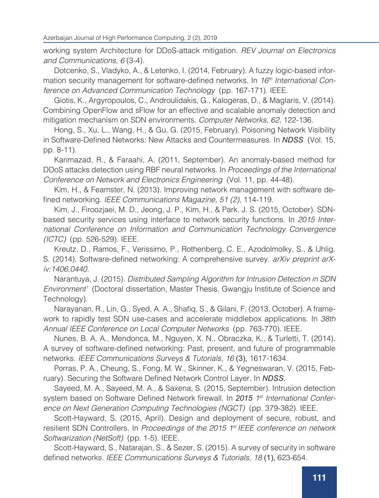working system Architecture for DDoS-attack mitigation. *REV Journal on Electronics and Communications, 6* (3-4).

Dotcenko, S., Vladyko, A., & Letenko, I. (2014, February). A fuzzy logic-based information security management for software-defined networks. In 16<sup>th</sup> International Conference on Advanced Communication Technology (pp. 167-171). IEEE.

Giotis, K., Argyropoulos, C., Androulidakis, G., Kalogeras, D., & Maglaris, V. (2014). Combining OpenFlow and sFlow for an effective and scalable anomaly detection and mitigation mechanism on SDN environments. *Computer Networks, 62,* 122-136.

Hong, S., Xu, L., Wang, H., & Gu, G. (2015, February). Poisoning Network Visibility in Software-Defined Networks: New Attacks and Countermeasures. In *NDSS* (Vol. 15, pp. 8-11).

Karimazad, R., & Faraahi, A. (2011, September). An anomaly-based method for DDoS attacks detection using RBF neural networks. In Proceedings of the International Conference on Network and Electronics Engineering (Vol. 11, pp. 44-48).

Kim, H., & Feamster, N. (2013). Improving network management with software defined networking. IEEE Communications Magazine, 51 (2), 114-119.

Kim, J., Firoozjaei, M. D., Jeong, J. P., Kim, H., & Park, J. S. (2015, October). SDNbased security services using interface to network security functions. In 2015 *Inter*national Conference on Information and Communication Technology Convergence *(ICTC)* (pp. 526-529). IEEE.

Kreutz, D., Ramos, F., Verissimo, P., Rothenberg, C. E., Azodolmolky, S., & Uhlig, S. (2014). Software-defined networking: A comprehensive survey. *arXiv preprint arX*iv:1406.0440.

Narantuya, J. (2015). Distributed Sampling Algorithm for Intrusion Detection in SDN *Environment'* (Doctoral dissertation, Master Thesis. Gwangju Institute of Science and Technology).

Narayanan, R., Lin, G., Syed, A. A., Shafiq, S., & Gilani, F. (2013, October). A framework to rapidly test SDN use-cases and accelerate middlebox applications. In *38th Annual IEEE Conference on Local Computer Networks* (pp. 763-770). IEEE.

Nunes, B. A. A., Mendonca, M., Nguyen, X. N., Obraczka, K., & Turletti, T. (2014). A survey of software-defined networking: Past, present, and future of programmable networks. *IEEE Communications Surveys & Tutorials, 16* (3), 1617-1634.

Porras, P. A., Cheung, S., Fong, M. W., Skinner, K., & Yegneswaran, V. (2015, February). Securing the Software Defined Network Control Layer. In *NDSS*.

Sayeed, M. A., Sayeed, M. A., & Saxena, S. (2015, September). Intrusion detection system based on Software Defined Network firewall. In *2015 1st International Confer*ence on Next Generation Computing Technologies (NGCT) (pp. 379-382). IEEE.

Scott-Hayward, S. (2015, April). Design and deployment of secure, robust, and resilient SDN Controllers. In Proceedings of the 2015 1*st IEEE conference on network*  Softwarization (NetSoft) (pp. 1-5). IEEE.

Scott-Hayward, S., Natarajan, S., & Sezer, S. (2015). A survey of security in software defined networks. *IEEE Communications Surveys & Tutorials, 18* (1), 623-654.